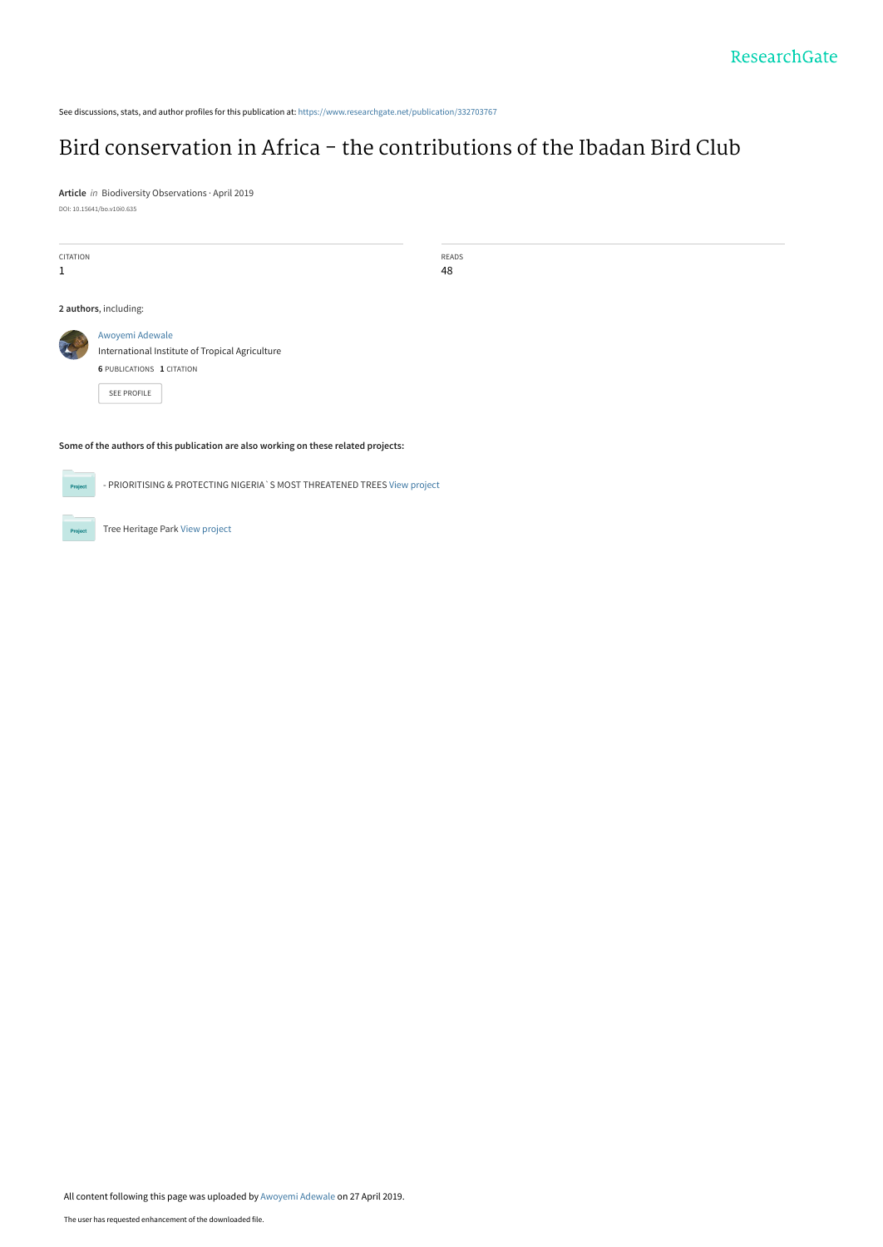See discussions, stats, and author profiles for this publication at: [https://www.researchgate.net/publication/332703767](https://www.researchgate.net/publication/332703767_Bird_conservation_in_Africa_-_the_contributions_of_the_Ibadan_Bird_Club?enrichId=rgreq-a719c5e7531dfda1896212b929de5d0c-XXX&enrichSource=Y292ZXJQYWdlOzMzMjcwMzc2NztBUzo3NTIyODc4MzYyOTUxNzBAMTU1NjM3MDgwNTgwNg%3D%3D&el=1_x_2&_esc=publicationCoverPdf)

## [Bird conservation in Africa - the contributions of the Ibadan Bird Club](https://www.researchgate.net/publication/332703767_Bird_conservation_in_Africa_-_the_contributions_of_the_Ibadan_Bird_Club?enrichId=rgreq-a719c5e7531dfda1896212b929de5d0c-XXX&enrichSource=Y292ZXJQYWdlOzMzMjcwMzc2NztBUzo3NTIyODc4MzYyOTUxNzBAMTU1NjM3MDgwNTgwNg%3D%3D&el=1_x_3&_esc=publicationCoverPdf)

**Article** in Biodiversity Observations · April 2019 DOI: 10.15641/bo.v10i0.635

| CITATION<br>1 |                                                                                                        | READS<br>48 |  |  |  |  |
|---------------|--------------------------------------------------------------------------------------------------------|-------------|--|--|--|--|
|               | 2 authors, including:                                                                                  |             |  |  |  |  |
|               | Awoyemi Adewale<br>International Institute of Tropical Agriculture<br><b>6 PUBLICATIONS 1 CITATION</b> |             |  |  |  |  |
|               | SEE PROFILE                                                                                            |             |  |  |  |  |

#### **Some of the authors of this publication are also working on these related projects:**

- PRIORITISING & PROTECTING NIGERIA`S MOST THREATENED TREES [View project](https://www.researchgate.net/project/PRIORITISING-PROTECTING-NIGERIA-S-MOST-THREATENED-TREES?enrichId=rgreq-a719c5e7531dfda1896212b929de5d0c-XXX&enrichSource=Y292ZXJQYWdlOzMzMjcwMzc2NztBUzo3NTIyODc4MzYyOTUxNzBAMTU1NjM3MDgwNTgwNg%3D%3D&el=1_x_9&_esc=publicationCoverPdf)

Tree Heritage Park [View project](https://www.researchgate.net/project/Tree-Heritage-Park?enrichId=rgreq-a719c5e7531dfda1896212b929de5d0c-XXX&enrichSource=Y292ZXJQYWdlOzMzMjcwMzc2NztBUzo3NTIyODc4MzYyOTUxNzBAMTU1NjM3MDgwNTgwNg%3D%3D&el=1_x_9&_esc=publicationCoverPdf)

Project

Proj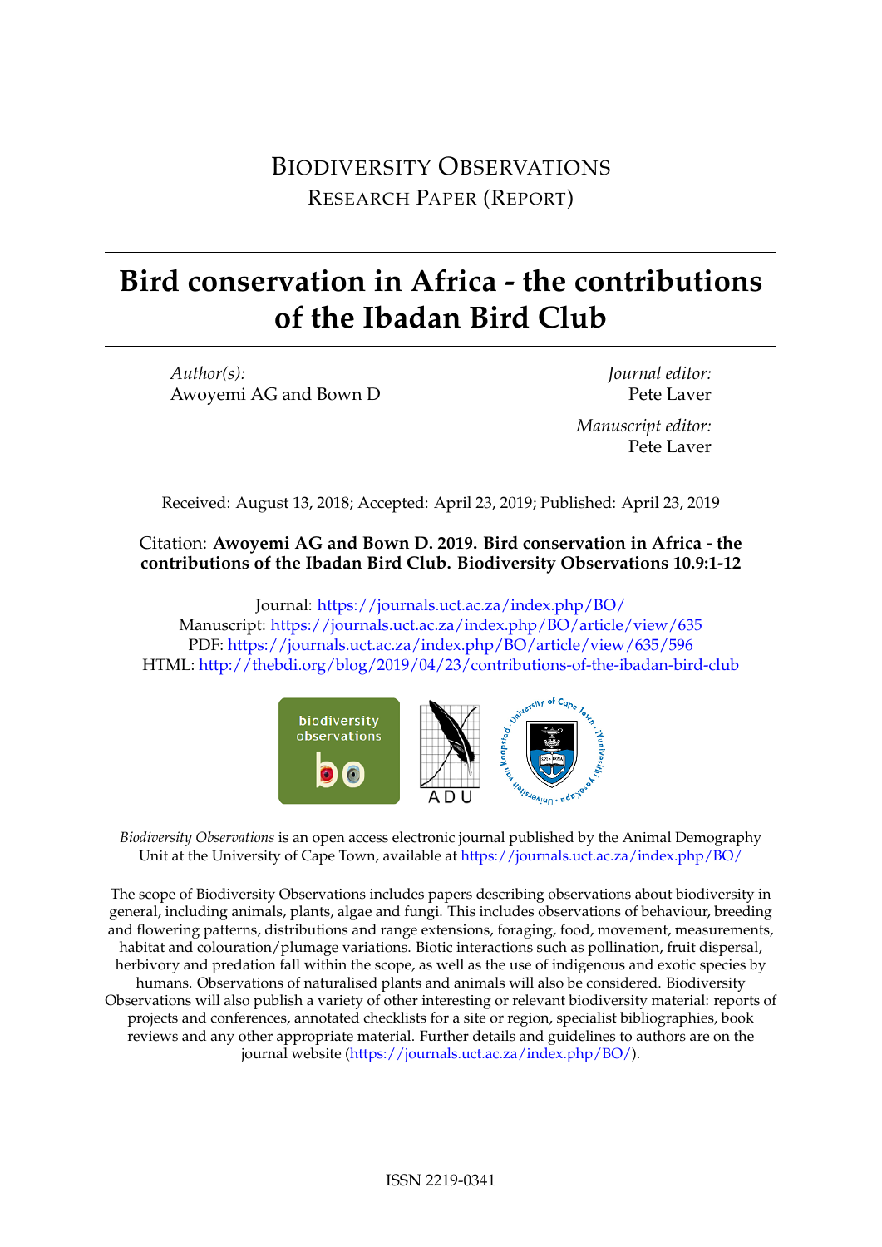# BIODIVERSITY OBSERVATIONS RESEARCH PAPER (REPORT)

# **Bird conservation in Africa - the contributions of the Ibadan Bird Club**

*Author(s):* Awoyemi AG and Bown D

*Journal editor:* Pete Laver *Manuscript editor:* Pete Laver

Received: August 13, 2018; Accepted: April 23, 2019; Published: April 23, 2019

### Citation: **Awoyemi AG and Bown D. 2019. Bird conservation in Africa - the contributions of the Ibadan Bird Club. Biodiversity Observations 10.9:1-12**

Journal: <https://journals.uct.ac.za/index.php/BO/> Manuscript: <https://journals.uct.ac.za/index.php/BO/article/view/635> PDF: <https://journals.uct.ac.za/index.php/BO/article/view/635/596> HTML: <http://thebdi.org/blog/2019/04/23/contributions-of-the-ibadan-bird-club>



*Biodiversity Observations* is an open access electronic journal published by the Animal Demography Unit at the University of Cape Town, available at <https://journals.uct.ac.za/index.php/BO/>

The scope of Biodiversity Observations includes papers describing observations about biodiversity in general, including animals, plants, algae and fungi. This includes observations of behaviour, breeding and flowering patterns, distributions and range extensions, foraging, food, movement, measurements, habitat and colouration/plumage variations. Biotic interactions such as pollination, fruit dispersal, herbivory and predation fall within the scope, as well as the use of indigenous and exotic species by humans. Observations of naturalised plants and animals will also be considered. Biodiversity Observations will also publish a variety of other interesting or relevant biodiversity material: reports of projects and conferences, annotated checklists for a site or region, specialist bibliographies, book reviews and any other appropriate material. Further details and guidelines to authors are on the journal website [\(https://journals.uct.ac.za/index.php/BO/\)](https://journals.uct.ac.za/index.php/BO/).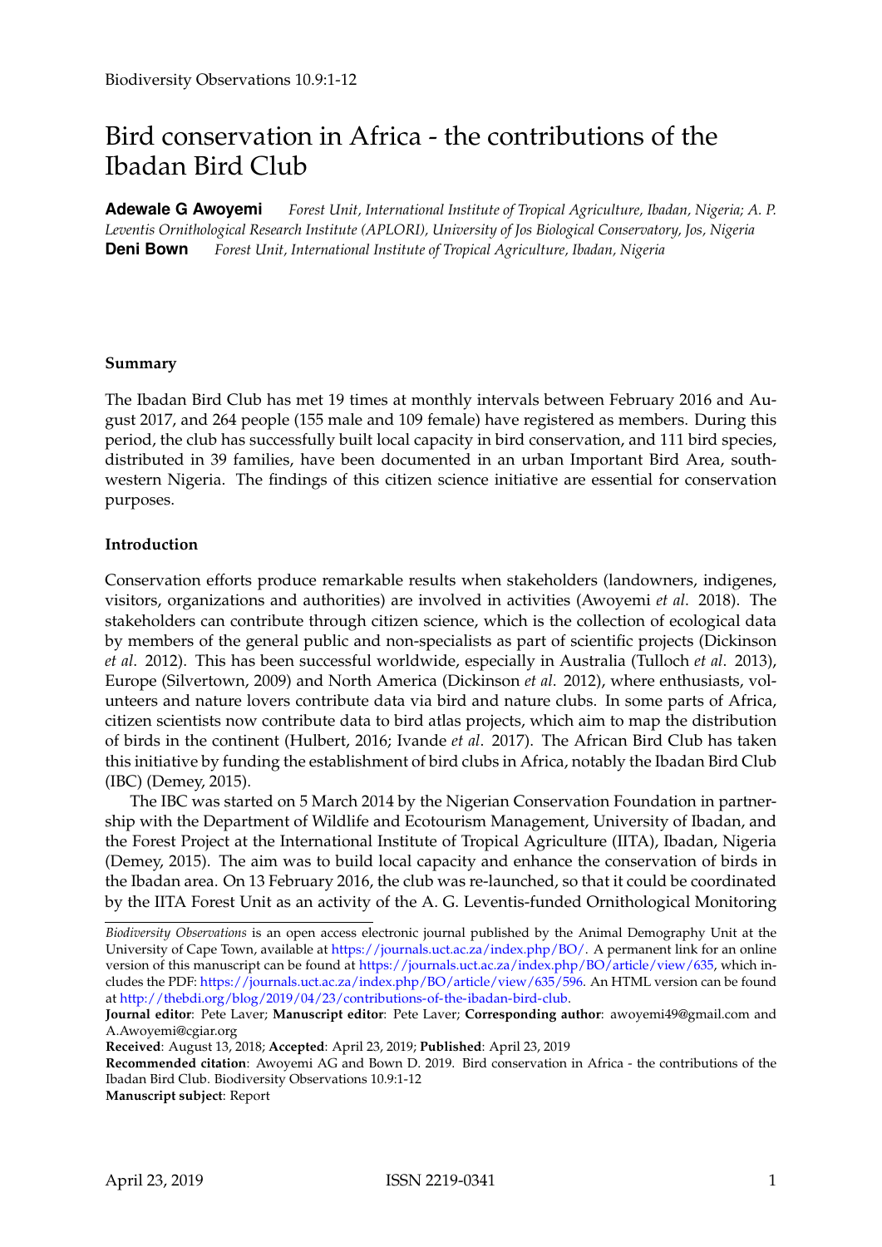# Bird conservation in Africa - the contributions of the Ibadan Bird Club

**Adewale G Awoyemi** *Forest Unit, International Institute of Tropical Agriculture, Ibadan, Nigeria; A. P. Leventis Ornithological Research Institute (APLORI), University of Jos Biological Conservatory, Jos, Nigeria* **Deni Bown** *Forest Unit, International Institute of Tropical Agriculture, Ibadan, Nigeria*

#### **Summary**

The Ibadan Bird Club has met 19 times at monthly intervals between February 2016 and August 2017, and 264 people (155 male and 109 female) have registered as members. During this period, the club has successfully built local capacity in bird conservation, and 111 bird species, distributed in 39 families, have been documented in an urban Important Bird Area, southwestern Nigeria. The findings of this citizen science initiative are essential for conservation purposes.

#### **Introduction**

Conservation efforts produce remarkable results when stakeholders (landowners, indigenes, visitors, organizations and authorities) are involved in activities (Awoyemi *et al*. 2018). The stakeholders can contribute through citizen science, which is the collection of ecological data by members of the general public and non-specialists as part of scientific projects (Dickinson *et al*. 2012). This has been successful worldwide, especially in Australia (Tulloch *et al*. 2013), Europe (Silvertown, 2009) and North America (Dickinson *et al*. 2012), where enthusiasts, volunteers and nature lovers contribute data via bird and nature clubs. In some parts of Africa, citizen scientists now contribute data to bird atlas projects, which aim to map the distribution of birds in the continent (Hulbert, 2016; Ivande *et al*. 2017). The African Bird Club has taken this initiative by funding the establishment of bird clubs in Africa, notably the Ibadan Bird Club (IBC) (Demey, 2015).

The IBC was started on 5 March 2014 by the Nigerian Conservation Foundation in partnership with the Department of Wildlife and Ecotourism Management, University of Ibadan, and the Forest Project at the International Institute of Tropical Agriculture (IITA), Ibadan, Nigeria (Demey, 2015). The aim was to build local capacity and enhance the conservation of birds in the Ibadan area. On 13 February 2016, the club was re-launched, so that it could be coordinated by the IITA Forest Unit as an activity of the A. G. Leventis-funded Ornithological Monitoring

**Received**: August 13, 2018; **Accepted**: April 23, 2019; **Published**: April 23, 2019

**Recommended citation**: Awoyemi AG and Bown D. 2019. Bird conservation in Africa - the contributions of the Ibadan Bird Club. Biodiversity Observations 10.9:1-12

**Manuscript subject**: Report

*Biodiversity Observations* is an open access electronic journal published by the Animal Demography Unit at the University of Cape Town, available at [https://journals.uct.ac.za/index.php/BO/.](https://journals.uct.ac.za/index.php/BO/) A permanent link for an online version of this manuscript can be found at [https://journals.uct.ac.za/index.php/BO/article/view/635,](https://journals.uct.ac.za/index.php/BO/article/view/635) which includes the PDF: [https://journals.uct.ac.za/index.php/BO/article/view/635/596.](https://journals.uct.ac.za/index.php/BO/article/view/635/596) An HTML version can be found at [http://thebdi.org/blog/2019/04/23/contributions-of-the-ibadan-bird-club.](http://thebdi.org/blog/2019/04/23/contributions-of-the-ibadan-bird-club)

**Journal editor**: Pete Laver; **Manuscript editor**: Pete Laver; **Corresponding author**: awoyemi49@gmail.com and A.Awoyemi@cgiar.org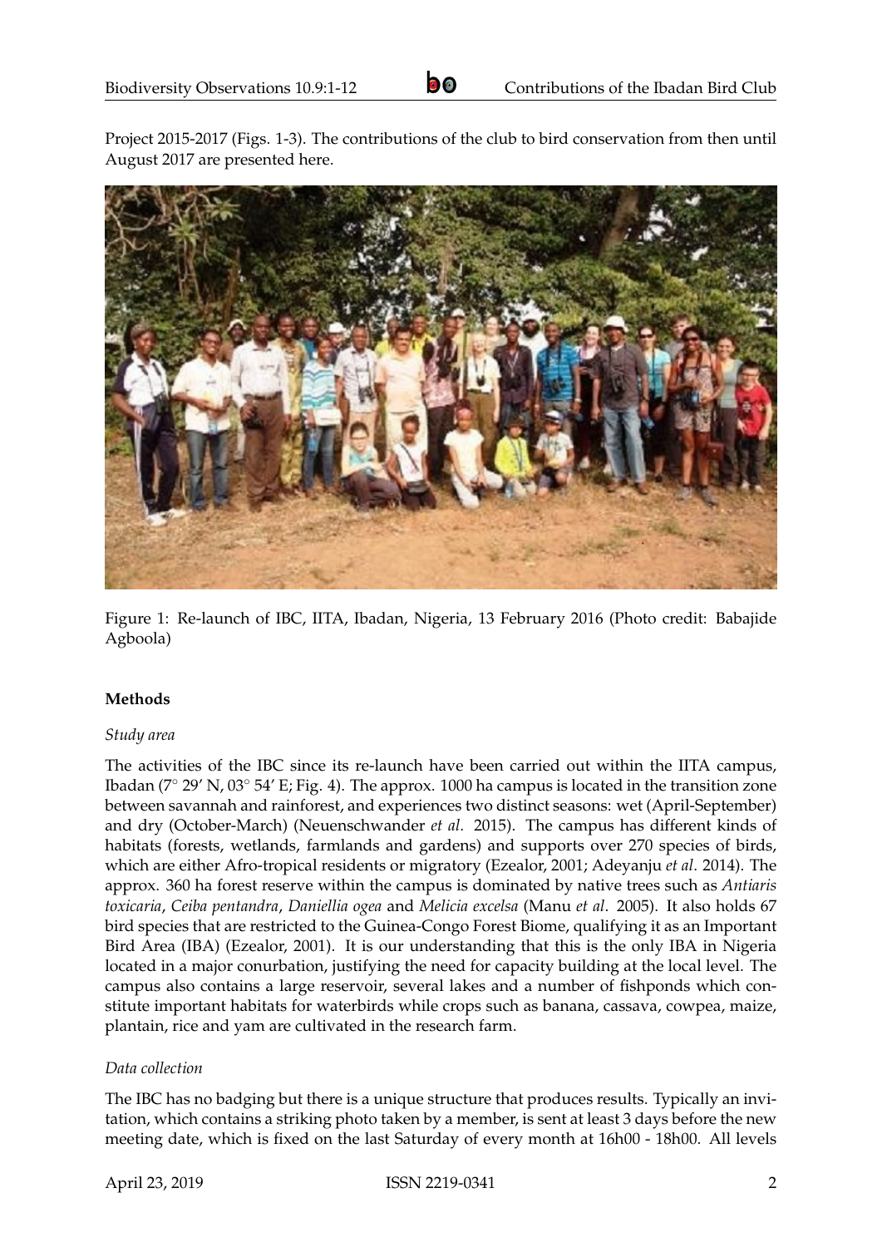Project 2015-2017 (Figs. 1-3). The contributions of the club to bird conservation from then until August 2017 are presented here.



Figure 1: Re-launch of IBC, IITA, Ibadan, Nigeria, 13 February 2016 (Photo credit: Babajide Agboola)

#### **Methods**

#### *Study area*

The activities of the IBC since its re-launch have been carried out within the IITA campus, Ibadan (7◦ 29' N, 03◦ 54' E; Fig. 4). The approx. 1000 ha campus is located in the transition zone between savannah and rainforest, and experiences two distinct seasons: wet (April-September) and dry (October-March) (Neuenschwander *et al*. 2015). The campus has different kinds of habitats (forests, wetlands, farmlands and gardens) and supports over 270 species of birds, which are either Afro-tropical residents or migratory (Ezealor, 2001; Adeyanju *et al*. 2014). The approx. 360 ha forest reserve within the campus is dominated by native trees such as *Antiaris toxicaria*, *Ceiba pentandra*, *Daniellia ogea* and *Melicia excelsa* (Manu *et al*. 2005). It also holds 67 bird species that are restricted to the Guinea-Congo Forest Biome, qualifying it as an Important Bird Area (IBA) (Ezealor, 2001). It is our understanding that this is the only IBA in Nigeria located in a major conurbation, justifying the need for capacity building at the local level. The campus also contains a large reservoir, several lakes and a number of fishponds which constitute important habitats for waterbirds while crops such as banana, cassava, cowpea, maize, plantain, rice and yam are cultivated in the research farm.

#### *Data collection*

The IBC has no badging but there is a unique structure that produces results. Typically an invitation, which contains a striking photo taken by a member, is sent at least 3 days before the new meeting date, which is fixed on the last Saturday of every month at 16h00 - 18h00. All levels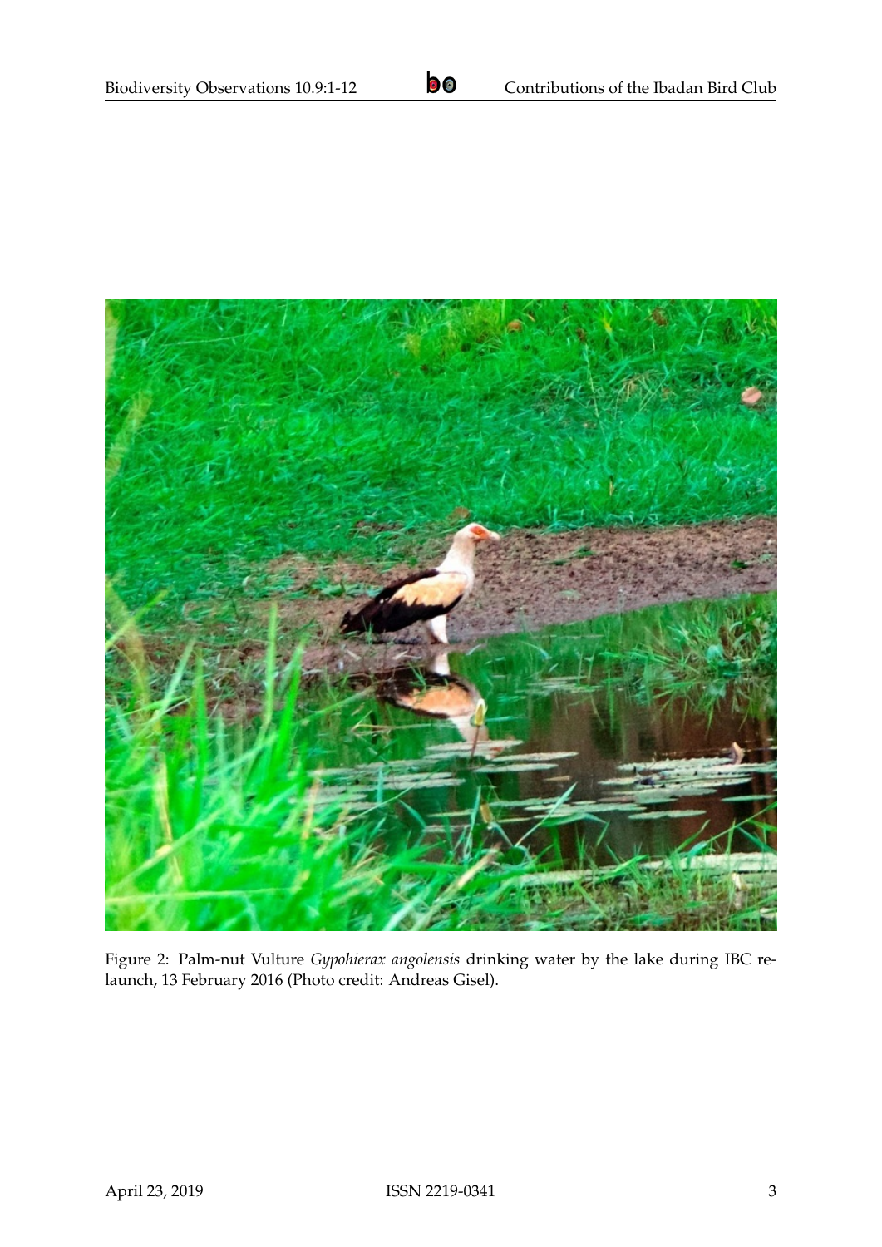

Figure 2: Palm-nut Vulture *Gypohierax angolensis* drinking water by the lake during IBC relaunch, 13 February 2016 (Photo credit: Andreas Gisel).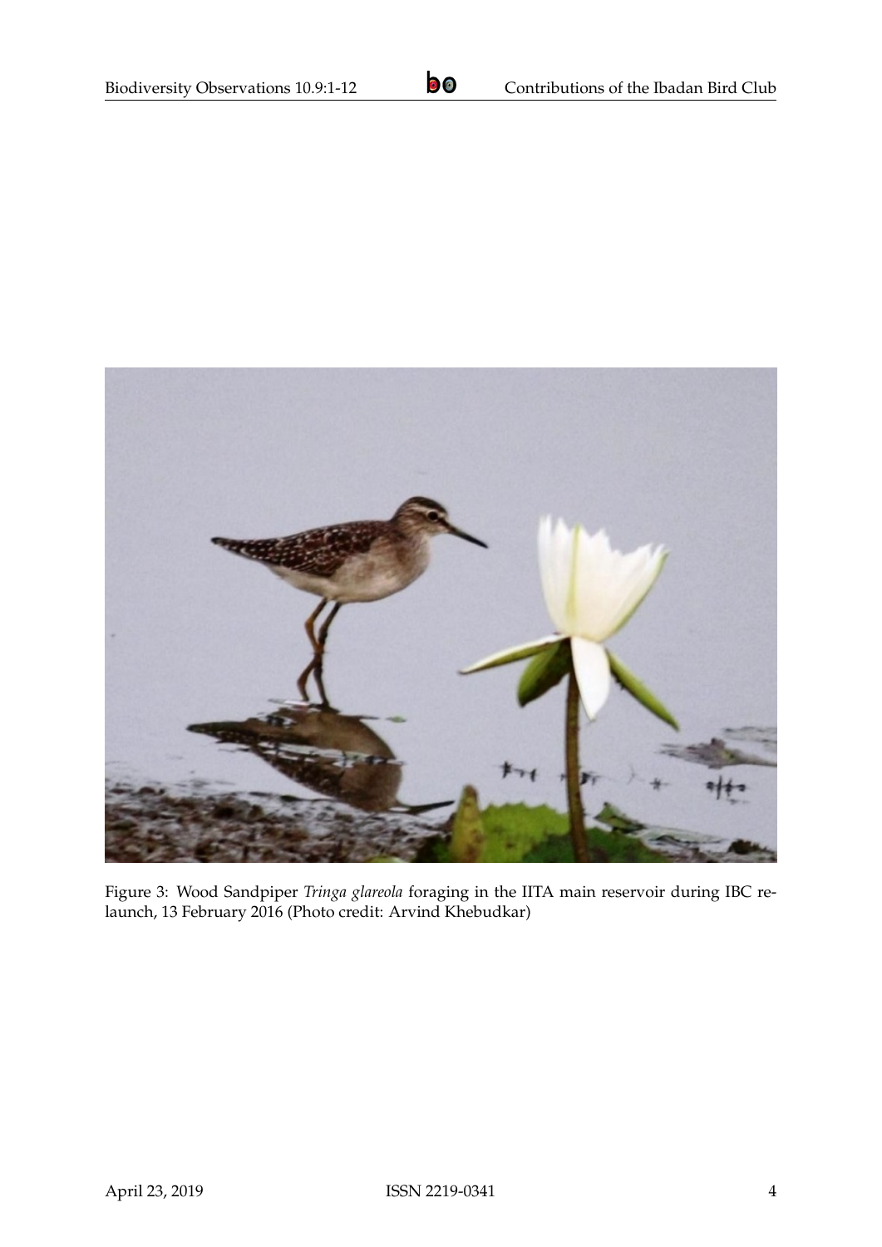

Figure 3: Wood Sandpiper *Tringa glareola* foraging in the IITA main reservoir during IBC relaunch, 13 February 2016 (Photo credit: Arvind Khebudkar)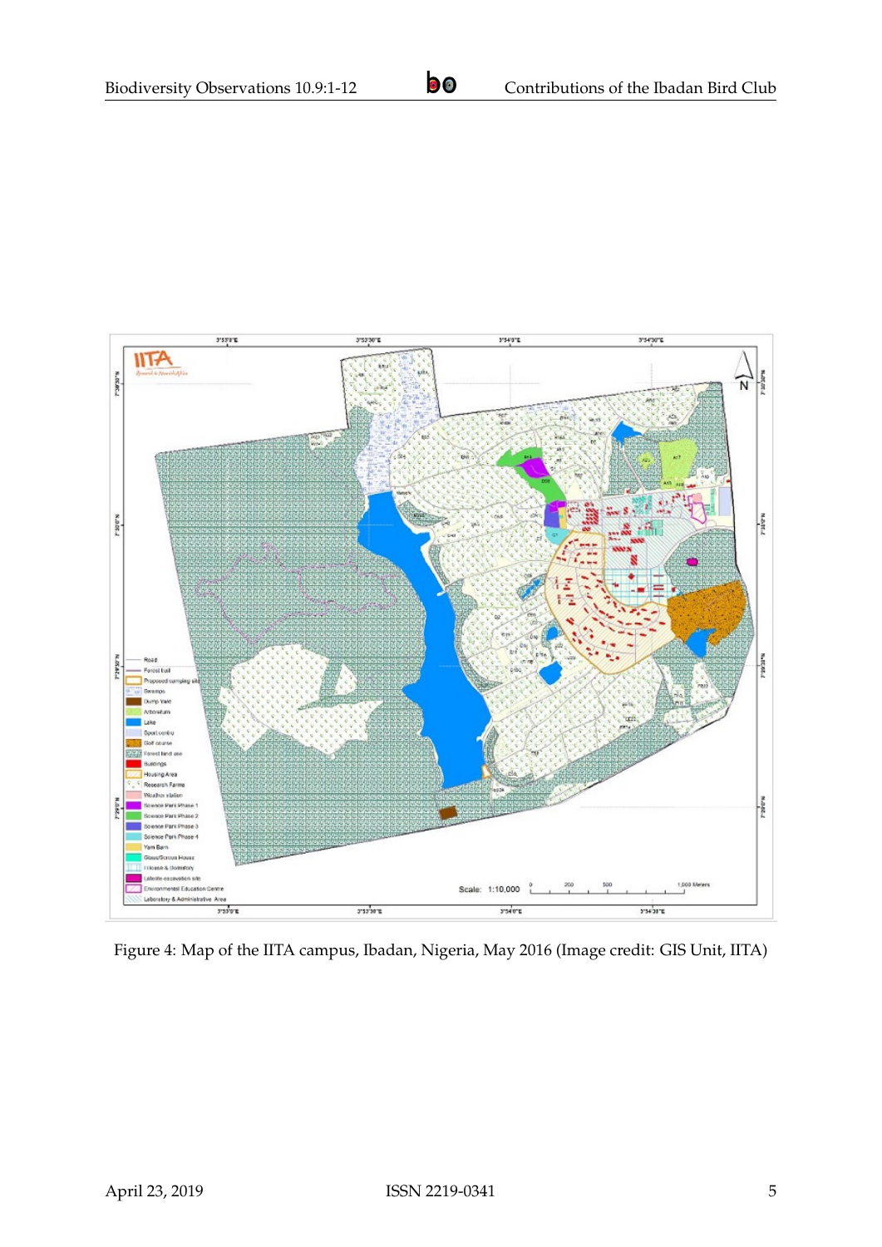

Figure 4: Map of the IITA campus, Ibadan, Nigeria, May 2016 (Image credit: GIS Unit, IITA)

April 23, 2019 **ISSN 2219-0341** 5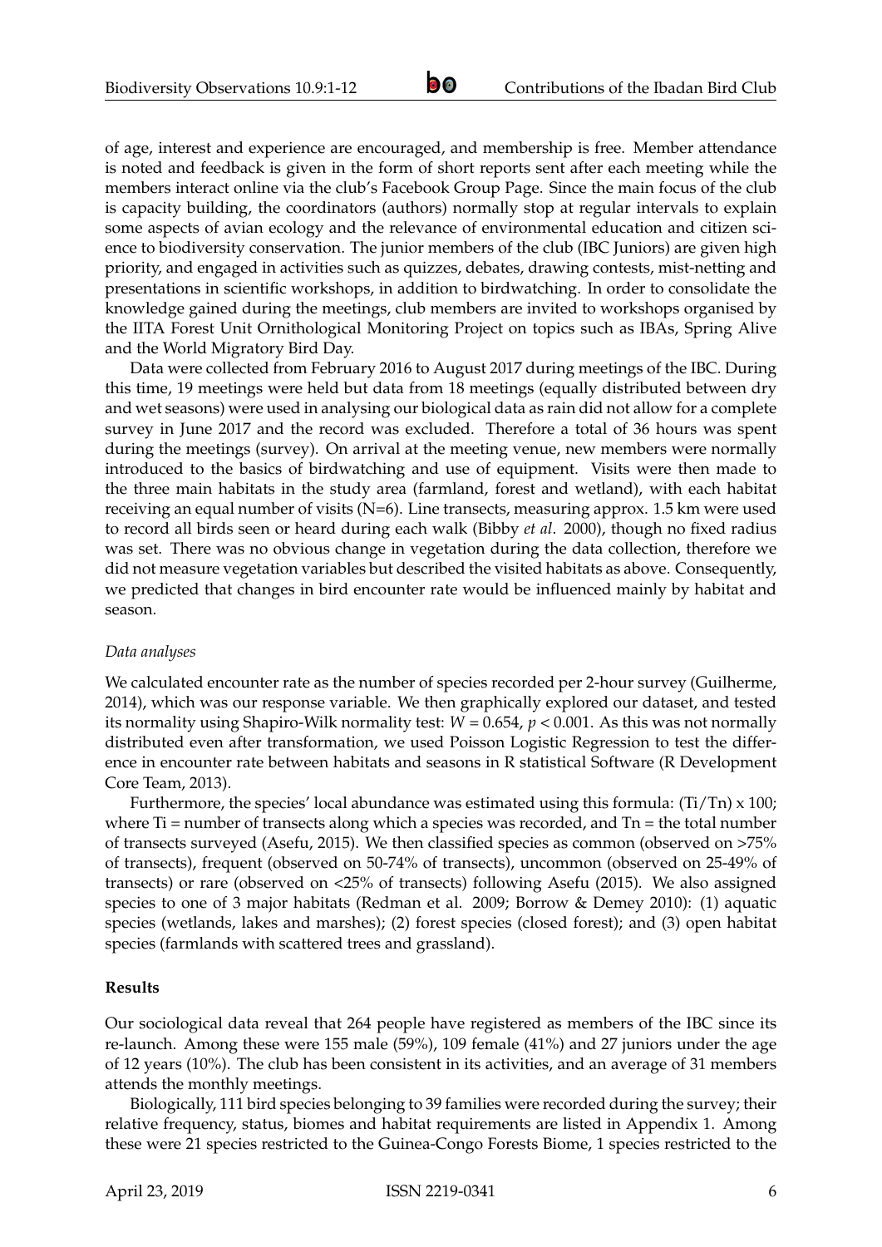of age, interest and experience are encouraged, and membership is free. Member attendance is noted and feedback is given in the form of short reports sent after each meeting while the members interact online via the club's Facebook Group Page. Since the main focus of the club is capacity building, the coordinators (authors) normally stop at regular intervals to explain some aspects of avian ecology and the relevance of environmental education and citizen science to biodiversity conservation. The junior members of the club (IBC Juniors) are given high priority, and engaged in activities such as quizzes, debates, drawing contests, mist-netting and presentations in scientific workshops, in addition to birdwatching. In order to consolidate the knowledge gained during the meetings, club members are invited to workshops organised by the IITA Forest Unit Ornithological Monitoring Project on topics such as IBAs, Spring Alive and the World Migratory Bird Day.

Data were collected from February 2016 to August 2017 during meetings of the IBC. During this time, 19 meetings were held but data from 18 meetings (equally distributed between dry and wet seasons) were used in analysing our biological data as rain did not allow for a complete survey in June 2017 and the record was excluded. Therefore a total of 36 hours was spent during the meetings (survey). On arrival at the meeting venue, new members were normally introduced to the basics of birdwatching and use of equipment. Visits were then made to the three main habitats in the study area (farmland, forest and wetland), with each habitat receiving an equal number of visits (N=6). Line transects, measuring approx. 1.5 km were used to record all birds seen or heard during each walk (Bibby *et al*. 2000), though no fixed radius was set. There was no obvious change in vegetation during the data collection, therefore we did not measure vegetation variables but described the visited habitats as above. Consequently, we predicted that changes in bird encounter rate would be influenced mainly by habitat and season.

#### *Data analyses*

We calculated encounter rate as the number of species recorded per 2-hour survey (Guilherme, 2014), which was our response variable. We then graphically explored our dataset, and tested its normality using Shapiro-Wilk normality test:  $W = 0.654$ ,  $p < 0.001$ . As this was not normally distributed even after transformation, we used Poisson Logistic Regression to test the difference in encounter rate between habitats and seasons in R statistical Software (R Development Core Team, 2013).

Furthermore, the species' local abundance was estimated using this formula: (Ti/Tn) x 100; where  $Ti =$  number of transects along which a species was recorded, and  $Tn =$  the total number of transects surveyed (Asefu, 2015). We then classified species as common (observed on >75% of transects), frequent (observed on 50-74% of transects), uncommon (observed on 25-49% of transects) or rare (observed on <25% of transects) following Asefu (2015). We also assigned species to one of 3 major habitats (Redman et al. 2009; Borrow & Demey 2010): (1) aquatic species (wetlands, lakes and marshes); (2) forest species (closed forest); and (3) open habitat species (farmlands with scattered trees and grassland).

#### **Results**

Our sociological data reveal that 264 people have registered as members of the IBC since its re-launch. Among these were 155 male (59%), 109 female (41%) and 27 juniors under the age of 12 years (10%). The club has been consistent in its activities, and an average of 31 members attends the monthly meetings.

Biologically, 111 bird species belonging to 39 families were recorded during the survey; their relative frequency, status, biomes and habitat requirements are listed in Appendix 1. Among these were 21 species restricted to the Guinea-Congo Forests Biome, 1 species restricted to the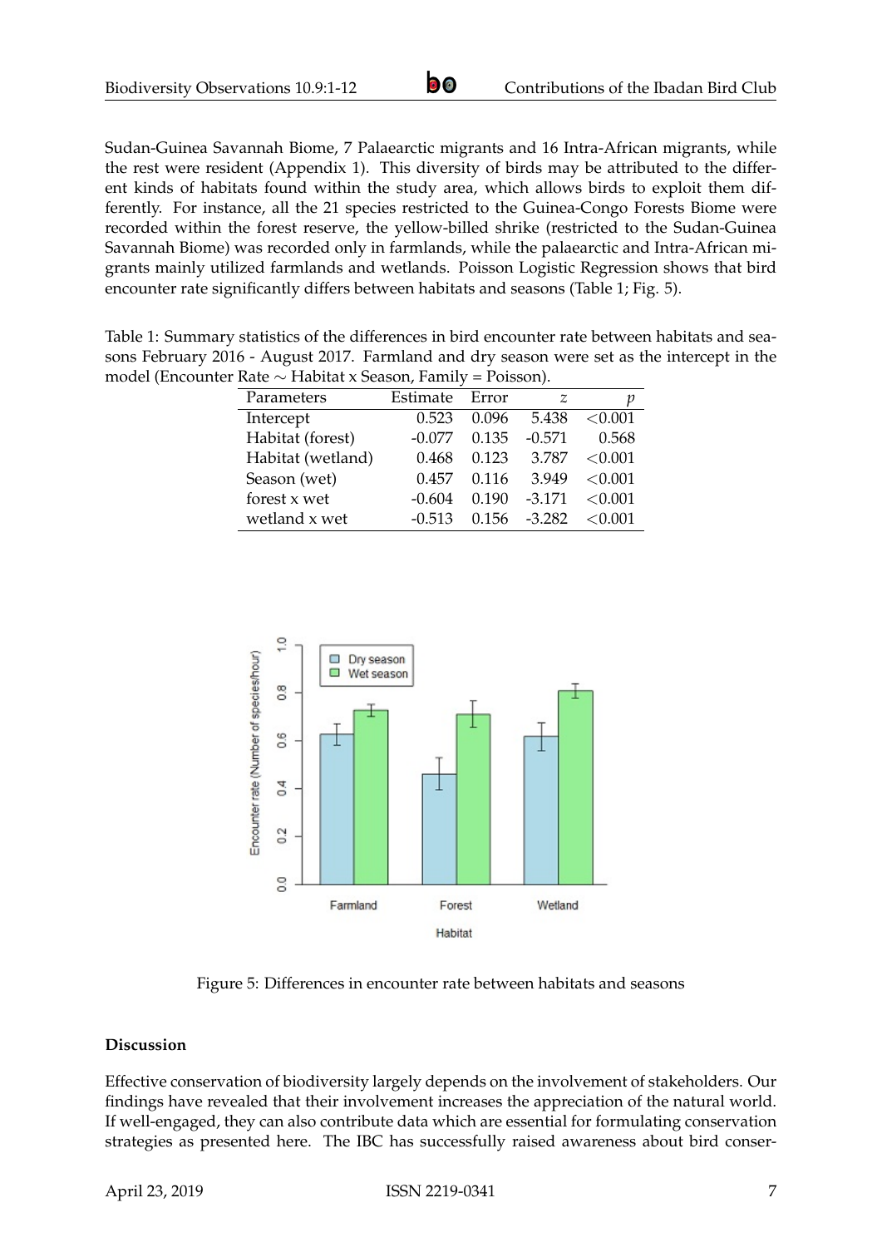Sudan-Guinea Savannah Biome, 7 Palaearctic migrants and 16 Intra-African migrants, while the rest were resident (Appendix 1). This diversity of birds may be attributed to the different kinds of habitats found within the study area, which allows birds to exploit them differently. For instance, all the 21 species restricted to the Guinea-Congo Forests Biome were recorded within the forest reserve, the yellow-billed shrike (restricted to the Sudan-Guinea Savannah Biome) was recorded only in farmlands, while the palaearctic and Intra-African migrants mainly utilized farmlands and wetlands. Poisson Logistic Regression shows that bird encounter rate significantly differs between habitats and seasons (Table 1; Fig. 5).

Table 1: Summary statistics of the differences in bird encounter rate between habitats and seasons February 2016 - August 2017. Farmland and dry season were set as the intercept in the model (Encounter Rate ∼ Habitat x Season, Family = Poisson).

| rac<br>$\frac{1}{2}$ |          |       |          |            |  |
|----------------------|----------|-------|----------|------------|--|
| Parameters           | Estimate | Error | Z        |            |  |
| Intercept            | 0.523    | 0.096 | 5.438    | < 0.001    |  |
| Habitat (forest)     | $-0.077$ | 0.135 | $-0.571$ | 0.568      |  |
| Habitat (wetland)    | 0.468    | 0.123 | 3.787    | ${<}0.001$ |  |
| Season (wet)         | 0.457    | 0.116 | 3.949    | < 0.001    |  |
| forest x wet         | $-0.604$ | 0.190 | $-3.171$ | ${<}0.001$ |  |
| wetland x wet        | $-0.513$ | 0.156 | $-3.282$ | < 0.001    |  |



Figure 5: Differences in encounter rate between habitats and seasons

### **Discussion**

Effective conservation of biodiversity largely depends on the involvement of stakeholders. Our findings have revealed that their involvement increases the appreciation of the natural world. If well-engaged, they can also contribute data which are essential for formulating conservation strategies as presented here. The IBC has successfully raised awareness about bird conser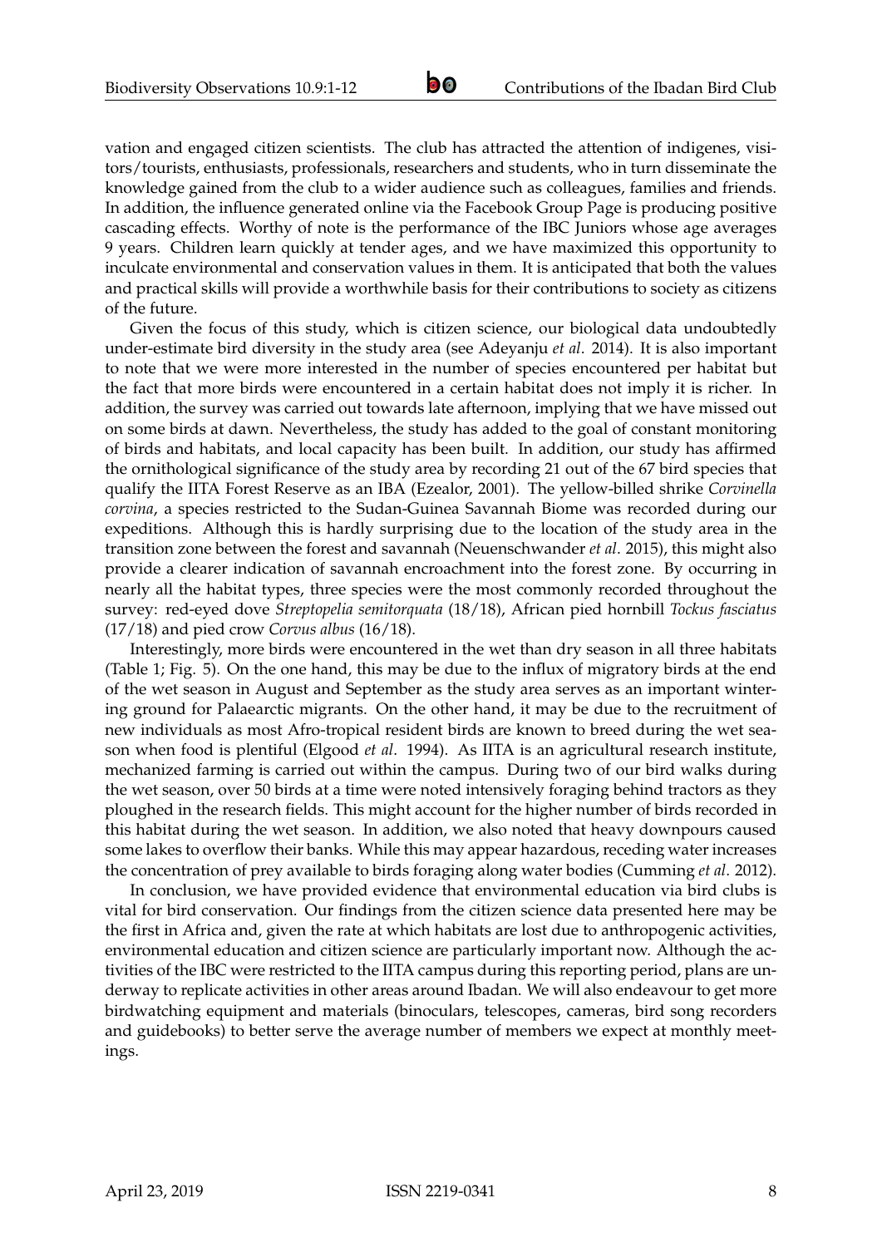vation and engaged citizen scientists. The club has attracted the attention of indigenes, visitors/tourists, enthusiasts, professionals, researchers and students, who in turn disseminate the knowledge gained from the club to a wider audience such as colleagues, families and friends. In addition, the influence generated online via the Facebook Group Page is producing positive cascading effects. Worthy of note is the performance of the IBC Juniors whose age averages 9 years. Children learn quickly at tender ages, and we have maximized this opportunity to inculcate environmental and conservation values in them. It is anticipated that both the values and practical skills will provide a worthwhile basis for their contributions to society as citizens of the future.

Given the focus of this study, which is citizen science, our biological data undoubtedly under-estimate bird diversity in the study area (see Adeyanju *et al*. 2014). It is also important to note that we were more interested in the number of species encountered per habitat but the fact that more birds were encountered in a certain habitat does not imply it is richer. In addition, the survey was carried out towards late afternoon, implying that we have missed out on some birds at dawn. Nevertheless, the study has added to the goal of constant monitoring of birds and habitats, and local capacity has been built. In addition, our study has affirmed the ornithological significance of the study area by recording 21 out of the 67 bird species that qualify the IITA Forest Reserve as an IBA (Ezealor, 2001). The yellow-billed shrike *Corvinella corvina*, a species restricted to the Sudan-Guinea Savannah Biome was recorded during our expeditions. Although this is hardly surprising due to the location of the study area in the transition zone between the forest and savannah (Neuenschwander *et al*. 2015), this might also provide a clearer indication of savannah encroachment into the forest zone. By occurring in nearly all the habitat types, three species were the most commonly recorded throughout the survey: red-eyed dove *Streptopelia semitorquata* (18/18), African pied hornbill *Tockus fasciatus* (17/18) and pied crow *Corvus albus* (16/18).

Interestingly, more birds were encountered in the wet than dry season in all three habitats (Table 1; Fig. 5). On the one hand, this may be due to the influx of migratory birds at the end of the wet season in August and September as the study area serves as an important wintering ground for Palaearctic migrants. On the other hand, it may be due to the recruitment of new individuals as most Afro-tropical resident birds are known to breed during the wet season when food is plentiful (Elgood *et al*. 1994). As IITA is an agricultural research institute, mechanized farming is carried out within the campus. During two of our bird walks during the wet season, over 50 birds at a time were noted intensively foraging behind tractors as they ploughed in the research fields. This might account for the higher number of birds recorded in this habitat during the wet season. In addition, we also noted that heavy downpours caused some lakes to overflow their banks. While this may appear hazardous, receding water increases the concentration of prey available to birds foraging along water bodies (Cumming *et al*. 2012).

In conclusion, we have provided evidence that environmental education via bird clubs is vital for bird conservation. Our findings from the citizen science data presented here may be the first in Africa and, given the rate at which habitats are lost due to anthropogenic activities, environmental education and citizen science are particularly important now. Although the activities of the IBC were restricted to the IITA campus during this reporting period, plans are underway to replicate activities in other areas around Ibadan. We will also endeavour to get more birdwatching equipment and materials (binoculars, telescopes, cameras, bird song recorders and guidebooks) to better serve the average number of members we expect at monthly meetings.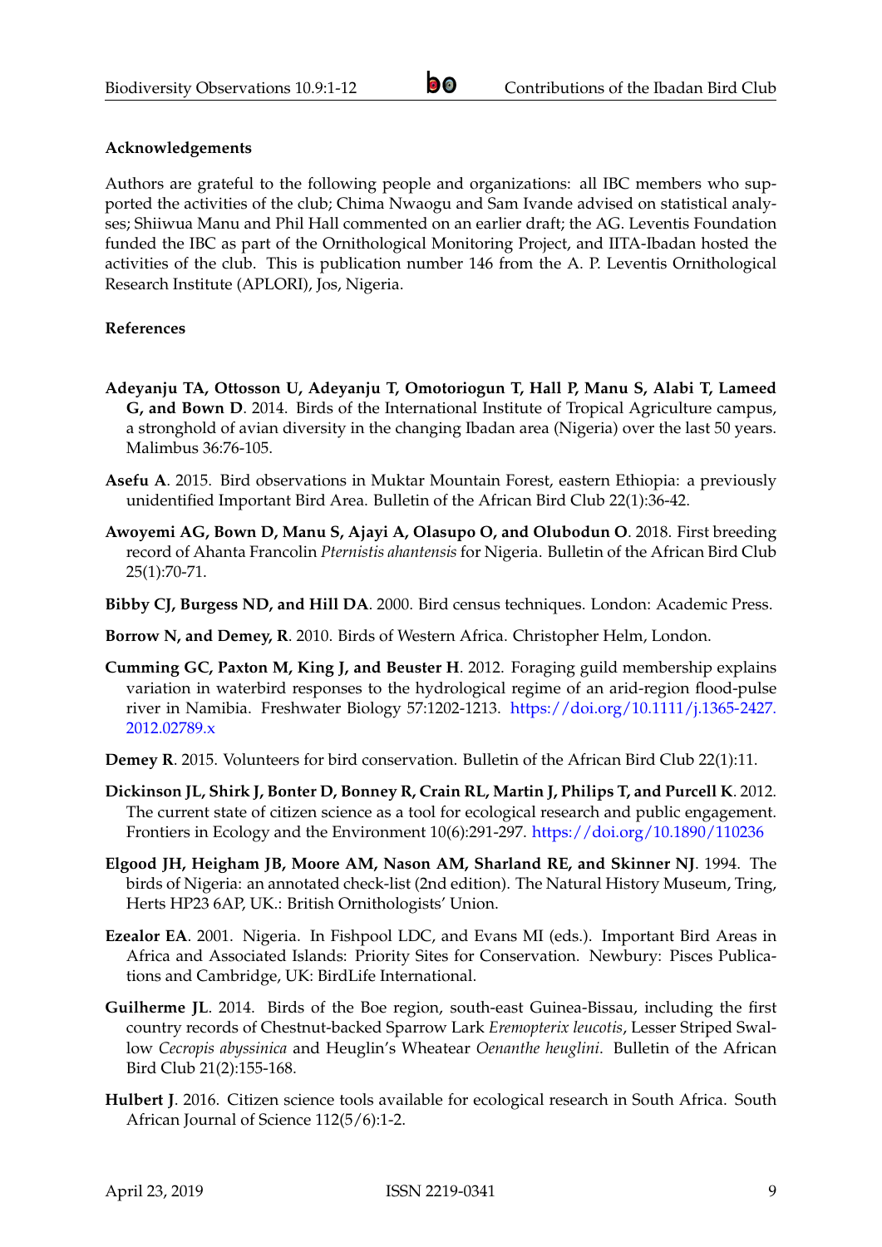#### **Acknowledgements**

Authors are grateful to the following people and organizations: all IBC members who supported the activities of the club; Chima Nwaogu and Sam Ivande advised on statistical analyses; Shiiwua Manu and Phil Hall commented on an earlier draft; the AG. Leventis Foundation funded the IBC as part of the Ornithological Monitoring Project, and IITA-Ibadan hosted the activities of the club. This is publication number 146 from the A. P. Leventis Ornithological Research Institute (APLORI), Jos, Nigeria.

#### **References**

- **Adeyanju TA, Ottosson U, Adeyanju T, Omotoriogun T, Hall P, Manu S, Alabi T, Lameed G, and Bown D**. 2014. Birds of the International Institute of Tropical Agriculture campus, a stronghold of avian diversity in the changing Ibadan area (Nigeria) over the last 50 years. Malimbus 36:76-105.
- **Asefu A**. 2015. Bird observations in Muktar Mountain Forest, eastern Ethiopia: a previously unidentified Important Bird Area. Bulletin of the African Bird Club 22(1):36-42.
- **Awoyemi AG, Bown D, Manu S, Ajayi A, Olasupo O, and Olubodun O**. 2018. First breeding record of Ahanta Francolin *Pternistis ahantensis* for Nigeria. Bulletin of the African Bird Club 25(1):70-71.
- **Bibby CJ, Burgess ND, and Hill DA**. 2000. Bird census techniques. London: Academic Press.
- **Borrow N, and Demey, R**. 2010. Birds of Western Africa. Christopher Helm, London.
- **Cumming GC, Paxton M, King J, and Beuster H**. 2012. Foraging guild membership explains variation in waterbird responses to the hydrological regime of an arid-region flood-pulse river in Namibia. Freshwater Biology 57:1202-1213. [https://doi.org/10.1111/j.1365-2427.](https://doi.org/10.1111/j.1365-2427.2012.02789.x) [2012.02789.x](https://doi.org/10.1111/j.1365-2427.2012.02789.x)
- **Demey R**. 2015. Volunteers for bird conservation. Bulletin of the African Bird Club 22(1):11.
- **Dickinson JL, Shirk J, Bonter D, Bonney R, Crain RL, Martin J, Philips T, and Purcell K**. 2012. The current state of citizen science as a tool for ecological research and public engagement. Frontiers in Ecology and the Environment 10(6):291-297. <https://doi.org/10.1890/110236>
- **Elgood JH, Heigham JB, Moore AM, Nason AM, Sharland RE, and Skinner NJ**. 1994. The birds of Nigeria: an annotated check-list (2nd edition). The Natural History Museum, Tring, Herts HP23 6AP, UK.: British Ornithologists' Union.
- **Ezealor EA**. 2001. Nigeria. In Fishpool LDC, and Evans MI (eds.). Important Bird Areas in Africa and Associated Islands: Priority Sites for Conservation. Newbury: Pisces Publications and Cambridge, UK: BirdLife International.
- **Guilherme JL**. 2014. Birds of the Boe region, south-east Guinea-Bissau, including the first country records of Chestnut-backed Sparrow Lark *Eremopterix leucotis*, Lesser Striped Swallow *Cecropis abyssinica* and Heuglin's Wheatear *Oenanthe heuglini*. Bulletin of the African Bird Club 21(2):155-168.
- **Hulbert J**. 2016. Citizen science tools available for ecological research in South Africa. South African Journal of Science 112(5/6):1-2.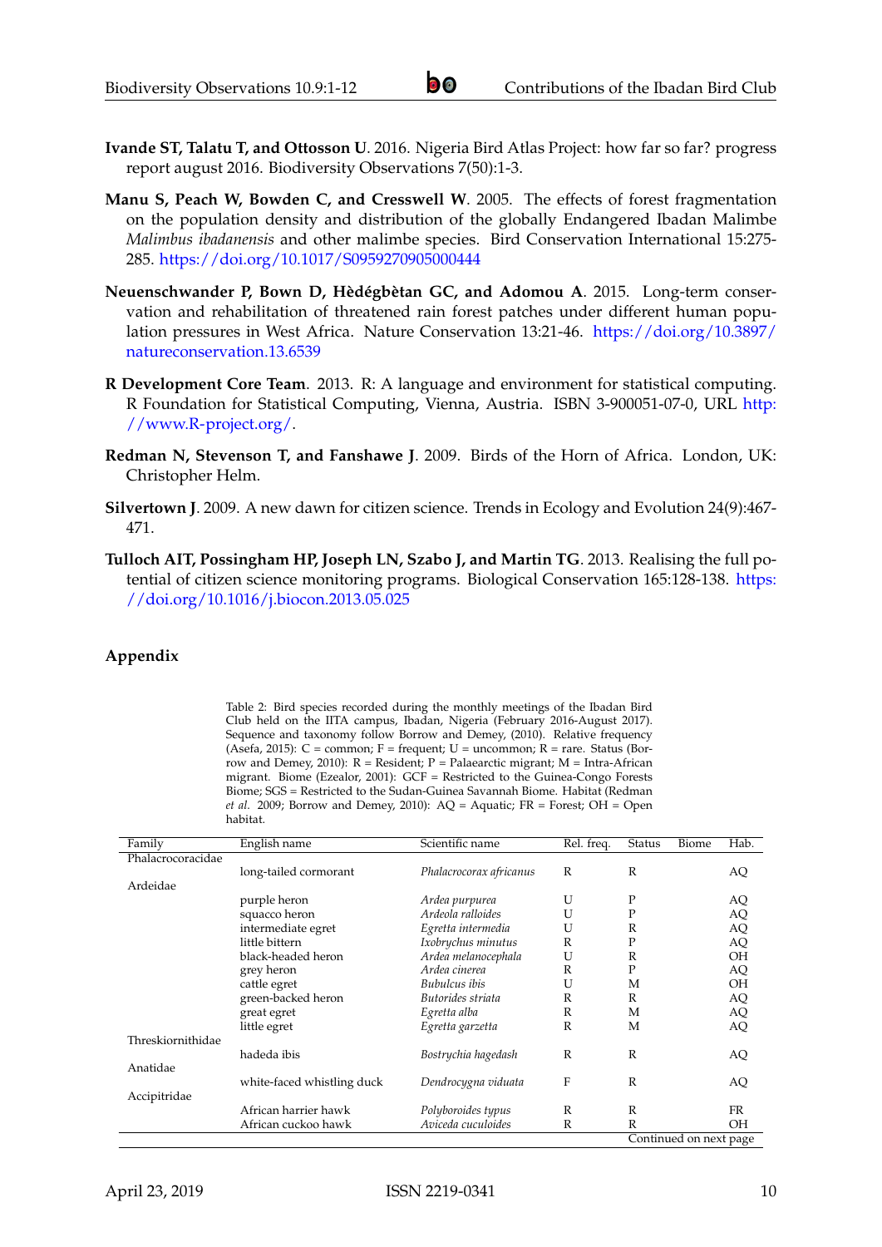- **Ivande ST, Talatu T, and Ottosson U**. 2016. Nigeria Bird Atlas Project: how far so far? progress report august 2016. Biodiversity Observations 7(50):1-3.
- **Manu S, Peach W, Bowden C, and Cresswell W**. 2005. The effects of forest fragmentation on the population density and distribution of the globally Endangered Ibadan Malimbe *Malimbus ibadanensis* and other malimbe species. Bird Conservation International 15:275- 285. <https://doi.org/10.1017/S0959270905000444>
- **Neuenschwander P, Bown D, Hèdégbètan GC, and Adomou A**. 2015. Long-term conservation and rehabilitation of threatened rain forest patches under different human population pressures in West Africa. Nature Conservation 13:21-46. [https://doi.org/10.3897/](https://doi.org/10.3897/natureconservation.13.6539) [natureconservation.13.6539](https://doi.org/10.3897/natureconservation.13.6539)
- **R Development Core Team**. 2013. R: A language and environment for statistical computing. R Foundation for Statistical Computing, Vienna, Austria. ISBN 3-900051-07-0, URL [http:](http://www.R-project.org/) [//www.R-project.org/.](http://www.R-project.org/)
- **Redman N, Stevenson T, and Fanshawe J**. 2009. Birds of the Horn of Africa. London, UK: Christopher Helm.
- **Silvertown J**. 2009. A new dawn for citizen science. Trends in Ecology and Evolution 24(9):467- 471.
- **Tulloch AIT, Possingham HP, Joseph LN, Szabo J, and Martin TG**. 2013. Realising the full potential of citizen science monitoring programs. Biological Conservation 165:128-138. [https:](https://doi.org/10.1016/j.biocon.2013.05.025) [//doi.org/10.1016/j.biocon.2013.05.025](https://doi.org/10.1016/j.biocon.2013.05.025)

#### **Appendix**

Table 2: Bird species recorded during the monthly meetings of the Ibadan Bird Club held on the IITA campus, Ibadan, Nigeria (February 2016-August 2017). Sequence and taxonomy follow Borrow and Demey, (2010). Relative frequency (Asefa, 2015):  $C =$  common;  $F =$  frequent;  $U =$  uncommon;  $R =$  rare. Status (Borrow and Demey, 2010):  $R =$  Resident;  $P =$  Palaearctic migrant;  $M =$  Intra-African migrant. Biome (Ezealor, 2001): GCF = Restricted to the Guinea-Congo Forests Biome; SGS = Restricted to the Sudan-Guinea Savannah Biome. Habitat (Redman *et al*. 2009; Borrow and Demey, 2010): AQ = Aquatic; FR = Forest; OH = Open habitat.

| Family            | English name               | Scientific name         | Rel. freq. | <b>Status</b>          | Biome | Hab.      |  |
|-------------------|----------------------------|-------------------------|------------|------------------------|-------|-----------|--|
| Phalacrocoracidae |                            |                         |            |                        |       |           |  |
|                   | long-tailed cormorant      | Phalacrocorax africanus | R          | R                      |       | AQ        |  |
| Ardeidae          |                            |                         |            |                        |       |           |  |
|                   | purple heron               | Ardea purpurea          | U          | P                      |       | AQ        |  |
|                   | squacco heron              | Ardeola ralloides       | U          | $\mathbf{P}$           |       | AQ        |  |
|                   | intermediate egret         | Egretta intermedia      | U          | R                      |       | AQ        |  |
|                   | little bittern             | Ixobrychus minutus      | R          | P                      |       | AQ        |  |
|                   | black-headed heron         | Ardea melanocephala     | U          | R                      |       | <b>OH</b> |  |
|                   | grey heron                 | Ardea cinerea           | R          | P                      |       | AQ        |  |
|                   | cattle egret               | Bubulcus ibis           | U          | М                      |       | <b>OH</b> |  |
|                   | green-backed heron         | Butorides striata       | R          | R                      |       | AQ        |  |
|                   | great egret                | Egretta alba            | R          | M                      |       | AQ        |  |
|                   | little egret               | Egretta garzetta        | R          | M                      |       | AQ        |  |
| Threskiornithidae |                            |                         |            |                        |       |           |  |
|                   | hadeda ibis                | Bostrychia hagedash     | R          | R                      |       | AQ        |  |
| Anatidae          |                            |                         |            |                        |       |           |  |
|                   | white-faced whistling duck | Dendrocygna viduata     | F          | R                      |       | AQ        |  |
| Accipitridae      |                            |                         |            |                        |       |           |  |
|                   | African harrier hawk       | Polyboroides typus      | R          | R                      |       | <b>FR</b> |  |
|                   | African cuckoo hawk        | Aviceda cuculoides      | R          | R                      |       | <b>OH</b> |  |
|                   |                            |                         |            | Continued on next page |       |           |  |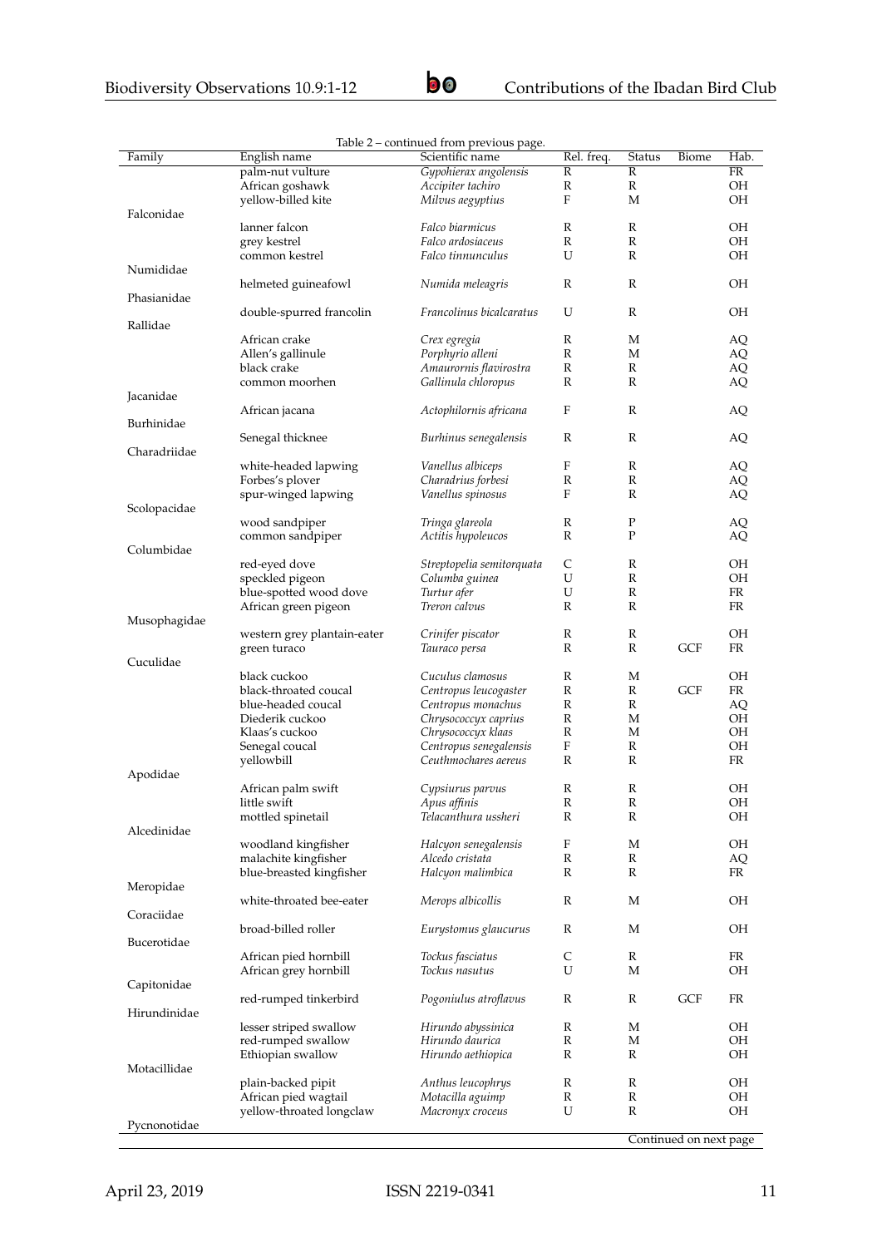|              |                             | Table 2 – continued from previous page. |                           |              |            |           |
|--------------|-----------------------------|-----------------------------------------|---------------------------|--------------|------------|-----------|
| Family       | English name                | Scientific name                         | Rel. freq.                | Status       | Biome      | Hab.      |
|              | palm-nut vulture            | Gypohierax angolensis                   | R                         | R            |            | FR        |
|              | African goshawk             | Accipiter tachiro                       | $\mathbb R$               | R            |            | <b>OH</b> |
|              | yellow-billed kite          | Milvus aegyptius                        | F                         | М            |            | <b>OH</b> |
| Falconidae   |                             |                                         |                           |              |            |           |
|              | lanner falcon               | Falco biarmicus                         | R                         | R            |            | OН        |
|              |                             | Falco ardosiaceus                       | R                         | R            |            | <b>OH</b> |
|              | grey kestrel                |                                         |                           |              |            |           |
|              | common kestrel              | Falco tinnunculus                       | U                         | R            |            | <b>OH</b> |
| Numididae    |                             |                                         |                           |              |            |           |
|              | helmeted guineafowl         | Numida meleagris                        | R                         | R            |            | <b>OH</b> |
| Phasianidae  |                             |                                         |                           |              |            |           |
|              | double-spurred francolin    | Francolinus bicalcaratus                | U                         | R            |            | OН        |
| Rallidae     |                             |                                         |                           |              |            |           |
|              | African crake               | Crex egregia                            | R                         | М            |            | AQ        |
|              | Allen's gallinule           | Porphyrio alleni                        | $\mathbb R$               | М            |            | AQ        |
|              | black crake                 | Amaurornis flavirostra                  | R                         | R            |            | AQ        |
|              | common moorhen              | Gallinula chloropus                     | R                         | R            |            | AQ        |
|              |                             |                                         |                           |              |            |           |
| Jacanidae    |                             |                                         |                           |              |            |           |
|              | African jacana              | Actophilornis africana                  | F                         | R            |            | AQ        |
| Burhinidae   |                             |                                         |                           |              |            |           |
|              | Senegal thicknee            | Burhinus senegalensis                   | R                         | R            |            | AQ        |
| Charadriidae |                             |                                         |                           |              |            |           |
|              | white-headed lapwing        | <i>Vanellus albiceps</i>                | F                         | R            |            | AQ        |
|              | Forbes's plover             | Charadrius forbesi                      | $\mathbb R$               | $\mathbb{R}$ |            | AQ        |
|              | spur-winged lapwing         | Vanellus spinosus                       | F                         | R            |            | AQ        |
|              |                             |                                         |                           |              |            |           |
| Scolopacidae |                             |                                         |                           |              |            |           |
|              | wood sandpiper              | Tringa glareola                         | R                         | P            |            | AQ        |
|              | common sandpiper            | Actitis hypoleucos                      | R                         | P            |            | AQ        |
| Columbidae   |                             |                                         |                           |              |            |           |
|              | red-eyed dove               | Streptopelia semitorquata               | C                         | R            |            | <b>OH</b> |
|              | speckled pigeon             | Columba guinea                          | U                         | R            |            | <b>OH</b> |
|              | blue-spotted wood dove      | Turtur afer                             | U                         | R            |            | FR        |
|              | African green pigeon        | Treron calvus                           | R                         | R            |            | FR        |
| Musophagidae |                             |                                         |                           |              |            |           |
|              | western grey plantain-eater | Crinifer piscator                       | R                         | R            |            | <b>OH</b> |
|              |                             |                                         | R                         | R            |            | FR        |
|              | green turaco                | Tauraco persa                           |                           |              | GCF        |           |
| Cuculidae    |                             |                                         |                           |              |            |           |
|              | black cuckoo                | Cuculus clamosus                        | R                         | М            |            | OН        |
|              | black-throated coucal       | Centropus leucogaster                   | R                         | R            | <b>GCF</b> | FR        |
|              | blue-headed coucal          | Centropus monachus                      | R                         | R            |            | AQ        |
|              | Diederik cuckoo             | Chrysococcyx caprius                    | R                         | М            |            | OH        |
|              | Klaas's cuckoo              | Chrysococcyx klaas                      | ${\mathbb R}$             | М            |            | <b>OH</b> |
|              | Senegal coucal              | Centropus senegalensis                  | $\boldsymbol{\mathrm{F}}$ | R            |            | OH        |
|              |                             | Ceuthmochares aereus                    | R                         | R            |            | FR        |
|              | yellowbill                  |                                         |                           |              |            |           |
| Apodidae     |                             |                                         |                           |              |            |           |
|              | African palm swift          | Cypsiurus parvus                        | R                         | R            |            | OН        |
|              | little swift                | Apus affinis                            | R                         | R            |            | OН        |
|              | mottled spinetail           | Telacanthura ussheri                    | R                         | R            |            | ОH        |
| Alcedinidae  |                             |                                         |                           |              |            |           |
|              | woodland kingfisher         | Halcyon senegalensis                    | F                         | М            |            | ОH        |
|              | malachite kingfisher        | Alcedo cristata                         | R                         | R            |            | AQ        |
|              | blue-breasted kingfisher    | Halcyon malimbica                       | R                         | R            |            | FR        |
| Meropidae    |                             |                                         |                           |              |            |           |
|              | white-throated bee-eater    |                                         | R                         |              |            | OH        |
|              |                             | Merops albicollis                       |                           | М            |            |           |
| Coraciidae   |                             |                                         |                           |              |            |           |
|              | broad-billed roller         | Eurystomus glaucurus                    | R                         | М            |            | ОH        |
| Bucerotidae  |                             |                                         |                           |              |            |           |
|              | African pied hornbill       | Tockus fasciatus                        | C                         | R            |            | FR        |
|              | African grey hornbill       | Tockus nasutus                          | U                         | М            |            | ОH        |
| Capitonidae  |                             |                                         |                           |              |            |           |
|              | red-rumped tinkerbird       | Pogoniulus atroflavus                   | R                         | R            | GCF        | FR        |
| Hirundinidae |                             |                                         |                           |              |            |           |
|              |                             |                                         | R                         | М            |            | ОH        |
|              | lesser striped swallow      | Hirundo abyssinica                      |                           |              |            |           |
|              | red-rumped swallow          | Hirundo daurica                         | R                         | М            |            | ОH        |
|              | Ethiopian swallow           | Hirundo aethiopica                      | R                         | R            |            | OH        |
| Motacillidae |                             |                                         |                           |              |            |           |
|              | plain-backed pipit          | Anthus leucophrys                       | R                         | R            |            | ОH        |
|              | African pied wagtail        | Motacilla aguimp                        | R                         | R            |            | OH        |
|              | yellow-throated longclaw    | Macronyx croceus                        | U                         | R            |            | ОH        |
| Pycnonotidae |                             |                                         |                           |              |            |           |

Table 2 – continued from previous page.

Continued on next page